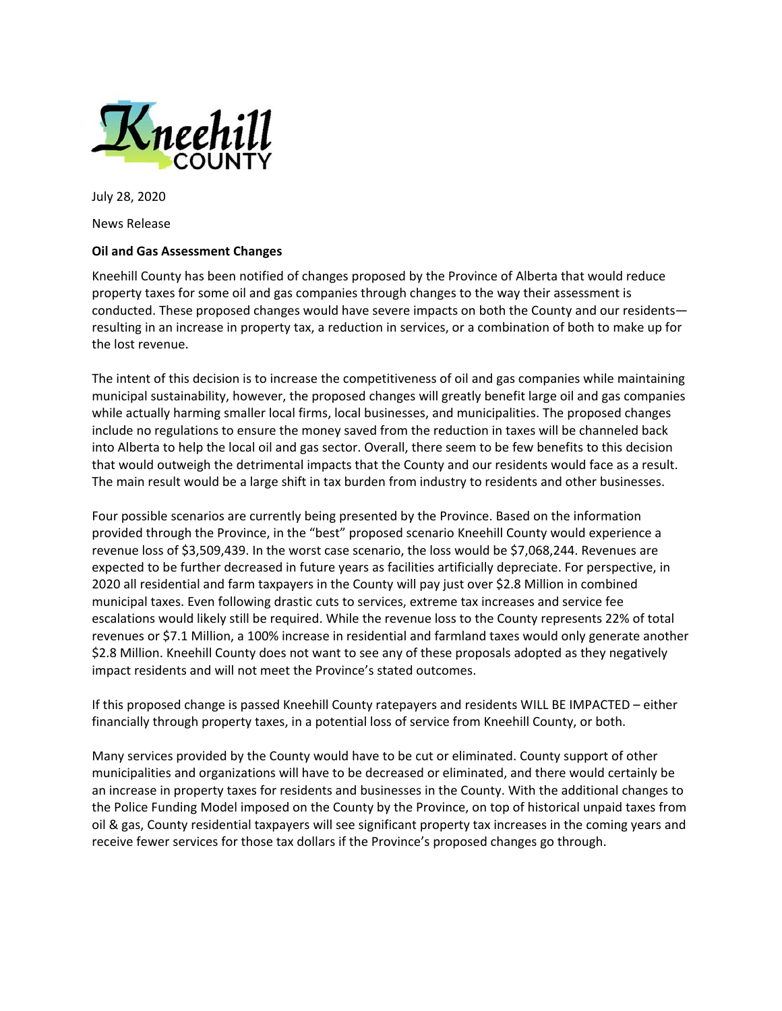

July 28, 2020

News Release

## **Oil and Gas Assessment Changes**

Kneehill County has been notified of changes proposed by the Province of Alberta that would reduce property taxes for some oil and gas companies through changes to the way their assessment is conducted. These proposed changes would have severe impacts on both the County and our residents resulting in an increase in property tax, a reduction in services, or a combination of both to make up for the lost revenue.

The intent of this decision is to increase the competitiveness of oil and gas companies while maintaining municipal sustainability, however, the proposed changes will greatly benefit large oil and gas companies while actually harming smaller local firms, local businesses, and municipalities. The proposed changes include no regulations to ensure the money saved from the reduction in taxes will be channeled back into Alberta to help the local oil and gas sector. Overall, there seem to be few benefits to this decision that would outweigh the detrimental impacts that the County and our residents would face as a result. The main result would be a large shift in tax burden from industry to residents and other businesses.

Four possible scenarios are currently being presented by the Province. Based on the information provided through the Province, in the "best" proposed scenario Kneehill County would experience a revenue loss of \$3,509,439. In the worst case scenario, the loss would be \$7,068,244. Revenues are expected to be further decreased in future years as facilities artificially depreciate. For perspective, in 2020 all residential and farm taxpayers in the County will pay just over \$2.8 Million in combined municipal taxes. Even following drastic cuts to services, extreme tax increases and service fee escalations would likely still be required. While the revenue loss to the County represents 22% of total revenues or \$7.1 Million, a 100% increase in residential and farmland taxes would only generate another \$2.8 Million. Kneehill County does not want to see any of these proposals adopted as they negatively impact residents and will not meet the Province's stated outcomes.

If this proposed change is passed Kneehill County ratepayers and residents WILL BE IMPACTED – either financially through property taxes, in a potential loss of service from Kneehill County, or both.

Many services provided by the County would have to be cut or eliminated. County support of other municipalities and organizations will have to be decreased or eliminated, and there would certainly be an increase in property taxes for residents and businesses in the County. With the additional changes to the Police Funding Model imposed on the County by the Province, on top of historical unpaid taxes from oil & gas, County residential taxpayers will see significant property tax increases in the coming years and receive fewer services for those tax dollars if the Province's proposed changes go through.